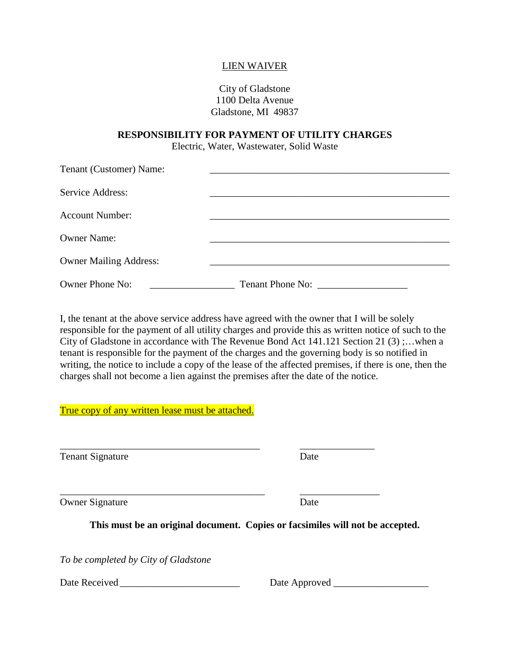## LIEN WAIVER

City of Gladstone 1100 Delta Avenue Gladstone, MI 49837

## **RESPONSIBILITY FOR PAYMENT OF UTILITY CHARGES**

Electric, Water, Wastewater, Solid Waste

| Tenant (Customer) Name:       |                  |
|-------------------------------|------------------|
| Service Address:              |                  |
| <b>Account Number:</b>        |                  |
| <b>Owner Name:</b>            |                  |
| <b>Owner Mailing Address:</b> |                  |
| Owner Phone No:               | Tenant Phone No: |

I, the tenant at the above service address have agreed with the owner that I will be solely responsible for the payment of all utility charges and provide this as written notice of such to the City of Gladstone in accordance with The Revenue Bond Act 141.121 Section 21 (3) ;…when a tenant is responsible for the payment of the charges and the governing body is so notified in writing, the notice to include a copy of the lease of the affected premises, if there is one, then the charges shall not become a lien against the premises after the date of the notice.

True copy of any written lease must be attached.

Tenant Signature Date

Owner Signature Date

**This must be an original document. Copies or facsimiles will not be accepted.**

\_\_\_\_\_\_\_\_\_\_\_\_\_\_\_\_\_\_\_\_\_\_\_\_\_\_\_\_\_\_\_\_\_\_\_\_\_\_\_\_ \_\_\_\_\_\_\_\_\_\_\_\_\_\_\_

\_\_\_\_\_\_\_\_\_\_\_\_\_\_\_\_\_\_\_\_\_\_\_\_\_\_\_\_\_\_\_\_\_\_\_\_\_\_\_\_\_ \_\_\_\_\_\_\_\_\_\_\_\_\_\_\_\_

*To be completed by City of Gladstone* 

Date Received \_\_\_\_\_\_\_\_\_\_\_\_\_\_\_\_\_\_\_\_\_\_\_\_ Date Approved \_\_\_\_\_\_\_\_\_\_\_\_\_\_\_\_\_\_\_